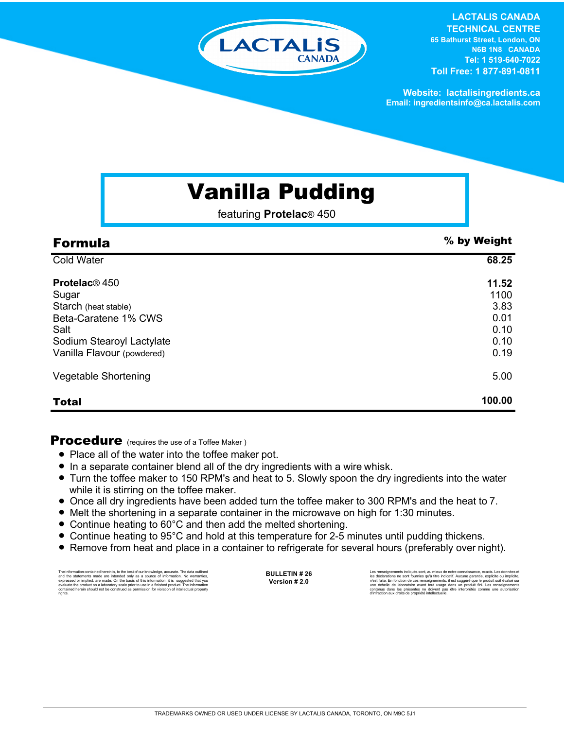

## **LACTALIS CANADA**

**TECHNICAL CENTRE 65 Bathurst Street, London, ON N6B 1N8 CANADA Tel: 1 519-640-7022 Toll Free: 1 877-891-0811**

**Website: lactalisingredients.ca Email: ingredientsinfo@ca.lactalis.com**

# Vanilla Pudding

featuring **Protelac**® 450

| <b>Formula</b>                                                                                                                                               | % by Weight                                           |
|--------------------------------------------------------------------------------------------------------------------------------------------------------------|-------------------------------------------------------|
| <b>Cold Water</b>                                                                                                                                            | 68.25                                                 |
| <b>Protelac</b> <sup>®</sup> 450<br>Sugar<br>Starch (heat stable)<br>Beta-Caratene 1% CWS<br>Salt<br>Sodium Stearoyl Lactylate<br>Vanilla Flavour (powdered) | 11.52<br>1100<br>3.83<br>0.01<br>0.10<br>0.10<br>0.19 |
| Vegetable Shortening                                                                                                                                         | 5.00                                                  |
| <b>Total</b>                                                                                                                                                 | 100.00                                                |

### **Procedure** (requires the use of a Toffee Maker)

- Place all of the water into the toffee maker pot.
- In a separate container blend all of the dry ingredients with a wire whisk.
- Turn the toffee maker to 150 RPM's and heat to 5. Slowly spoon the dry ingredients into the water while it is stirring on the toffee maker.
- Once all dry ingredients have been added turn the toffee maker to 300 RPM's and the heat to 7.
- Melt the shortening in a separate container in the microwave on high for 1:30 minutes.
- Continue heating to 60°C and then add the melted shortening.
- Continue heating to 95°C and hold at this temperature for 2-5 minutes until pudding thickens.
- Remove from heat and place in a container to refrigerate for several hours (preferably over night).

The information contained herein is, to the best of our knowledge, accurate. The data cutlined the statements made are intended only as a source of information. No warranties, expressed or implied, are made. On the basis o

**BULLETIN # 26 Version # 2.0**

Les renseignements indiqués sont, au mieux de notre connaissance, exacts. Les données et<br>les déclarations ne sont fournies qu'à titre indicatif. Aucune garantie, explicite ou implicite,<br>riest faite. En fonction de ces rens